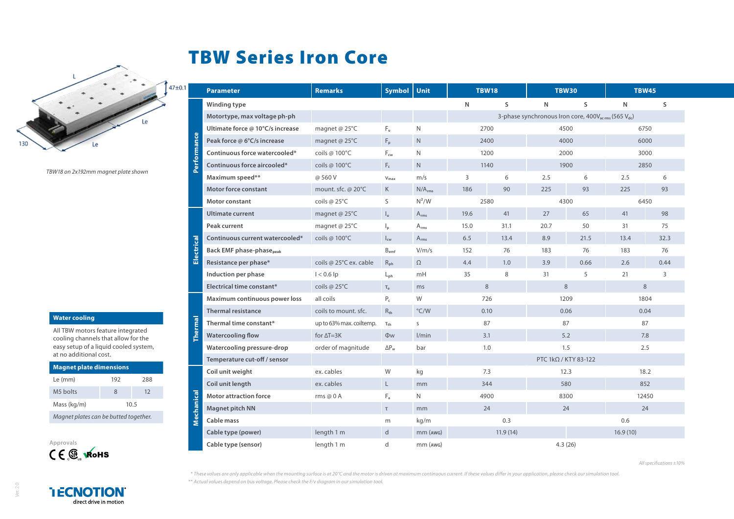## TBW Series Iron Core



*TBW18 on 2x192mm magnet plate shown*

## **Water cooling**

All TBW motors feature integrated cooling channels that allow for the easy setup of a liquid cooled system, at no additional cost.

| <b>Magnet plate dimensions</b>        |      |     |  |  |  |  |  |  |  |
|---------------------------------------|------|-----|--|--|--|--|--|--|--|
| Le (mm)                               | 192  | 288 |  |  |  |  |  |  |  |
| M <sub>5</sub> bolts                  | 8    | 12  |  |  |  |  |  |  |  |
| Mass (kg/m)                           | 10.5 |     |  |  |  |  |  |  |  |
| Magnet plates can be butted together. |      |     |  |  |  |  |  |  |  |



Ver. 2.0

|                    | <b>Parameter</b>                            | <b>Remarks</b>           | <b>Symbol</b>             | Unit               | <b>TBW18</b>                                                                |      | <b>TBW30</b> |      | <b>TBW45</b> |      |  |  |
|--------------------|---------------------------------------------|--------------------------|---------------------------|--------------------|-----------------------------------------------------------------------------|------|--------------|------|--------------|------|--|--|
| <b>Performance</b> | Winding type                                |                          |                           |                    | $\mathsf{N}$                                                                | S    | $\mathsf{N}$ | S.   | $\mathsf{N}$ | S    |  |  |
|                    | Motortype, max voltage ph-ph                |                          |                           |                    | 3-phase synchronous Iron core, 400V <sub>acrms</sub> (565 V <sub>dc</sub> ) |      |              |      |              |      |  |  |
|                    | Ultimate force @ 10°C/s increase            | magnet @ 25°C            | $F_u$                     | N                  | 2700                                                                        |      | 4500         |      | 6750         |      |  |  |
|                    | Peak force @ 6°C/s increase                 | magnet @ 25°C            | $F_p$                     | $\mathsf{N}$       | 2400                                                                        |      | 4000         |      | 6000         |      |  |  |
|                    | Continuous force watercooled*               | coils $\omega$ 100°C     | $F_{\text{cw}}$           | N                  | 1200                                                                        |      | 2000         |      | 3000         |      |  |  |
|                    | Continuous force aircooled*                 | coils @ 100°C            | $F_c$                     | $\mathsf{N}$       | 1140                                                                        |      | 1900         |      | 2850         |      |  |  |
|                    | Maximum speed**                             | @560V                    | $V_{\text{max}}$          | m/s                | 3                                                                           | 6    | 2.5          | 6    | 2.5          | 6    |  |  |
|                    | <b>Motor force constant</b>                 | mount. sfc. @ 20°C       | K                         | N/A <sub>rms</sub> | 186                                                                         | 90   | 225          | 93   | 225          | 93   |  |  |
|                    | <b>Motor constant</b>                       | coils $@25^{\circ}C$     | S                         | $N^2/W$            | 2580                                                                        |      | 4300         |      | 6450         |      |  |  |
| Electrical         | <b>Ultimate current</b>                     | magnet @ 25°C            | $I_{\rm u}$               | $A_{rms}$          | 19.6                                                                        | 41   | 27           | 65   | 41           | 98   |  |  |
|                    | Peak current                                | magnet @ 25°C            | $\mathsf{I}_{\mathsf{D}}$ | $A_{rms}$          | 15.0                                                                        | 31.1 | 20.7         | 50   | 31           | 75   |  |  |
|                    | Continuous current watercooled*             | coils @ 100°C            | $I_{\text{cw}}$           | $A_{rms}$          | 6.5                                                                         | 13.4 | 8.9          | 21.5 | 13.4         | 32.3 |  |  |
|                    | <b>Back EMF phase-phase</b> <sub>peak</sub> |                          | $B_{emf}$                 | V/m/s              | 152                                                                         | 76   | 183          | 76   | 183          | 76   |  |  |
|                    | Resistance per phase*                       | coils @ 25°C ex. cable   | $R_{\rm ph}$              | $\Omega$           | 4.4                                                                         | 1.0  | 3.9          | 0.66 | 2.6          | 0.44 |  |  |
|                    | Induction per phase                         | $I < 0.6$ lp             | $L_{\rm ph}$              | mH                 | 35                                                                          | 8    | 31           | 5    | 21           | 3    |  |  |
|                    | Electrical time constant*                   | coils @ 25°C             | $T_e$                     | ms                 | 8                                                                           |      | 8            |      | 8            |      |  |  |
| Thermal            | Maximum continuous power loss               | all coils                | $P_c$                     | W                  | 726                                                                         |      | 1209         |      | 1804         |      |  |  |
|                    | <b>Thermal resistance</b>                   | coils to mount, sfc.     | $R_{th}$                  | $\degree$ C/W      | 0.10                                                                        |      | 0.06         |      | 0.04         |      |  |  |
|                    | Thermal time constant*                      | up to 63% max. coiltemp. | $\tau_{\text{th}}$        | S                  | 87                                                                          |      | 87           |      | 87           |      |  |  |
|                    | <b>Watercooling flow</b>                    | for $\Delta T = 3K$      | <b>Ow</b>                 | 1/min              | 3.1                                                                         |      | 5.2          |      | 7.8          |      |  |  |
|                    | Watercooling pressure-drop                  | order of magnitude       | $\Delta P_w$              | bar                | 1.0                                                                         |      | 1.5          |      | 2.5          |      |  |  |
|                    | Temperature cut-off / sensor                |                          |                           |                    | PTC 1kΩ / KTY 83-122                                                        |      |              |      |              |      |  |  |
| Mechanical         | Coil unit weight                            | ex. cables               | W                         | kg                 | 7.3                                                                         |      | 12.3         |      | 18.2         |      |  |  |
|                    | Coil unit length                            | ex. cables               | L.                        | mm                 | 344                                                                         |      | 580          |      | 852          |      |  |  |
|                    | <b>Motor attraction force</b>               | rms @ $0$ A              | $F_a$                     | N                  | 4900                                                                        |      | 8300         |      | 12450        |      |  |  |
|                    | Magnet pitch NN                             |                          | $\mathsf T$               | mm                 | 24                                                                          |      | 24           |      | 24           |      |  |  |
|                    | Cable mass                                  |                          | m                         | kg/m               | 0.3                                                                         |      |              |      | 0.6          |      |  |  |
|                    | Cable type (power)                          | length 1 m               | $\mathsf{d}$              | $mm$ ( $AWG$ )     | 11.9(14)                                                                    |      |              |      | 16.9(10)     |      |  |  |
|                    | Cable type (sensor)                         | length 1 m               | d                         | $mm$ ( $AWG$ )     | 4.3(26)                                                                     |      |              |      |              |      |  |  |

*\* These values are only applicable when the mounting surface is at 20°C and the motor is driven at maximum continuous current. If these values differ in your application, please check our simulation tool.*

*\*\* Actual values depend on bus voltage. Please check the F/v diagram in our simulation tool.*